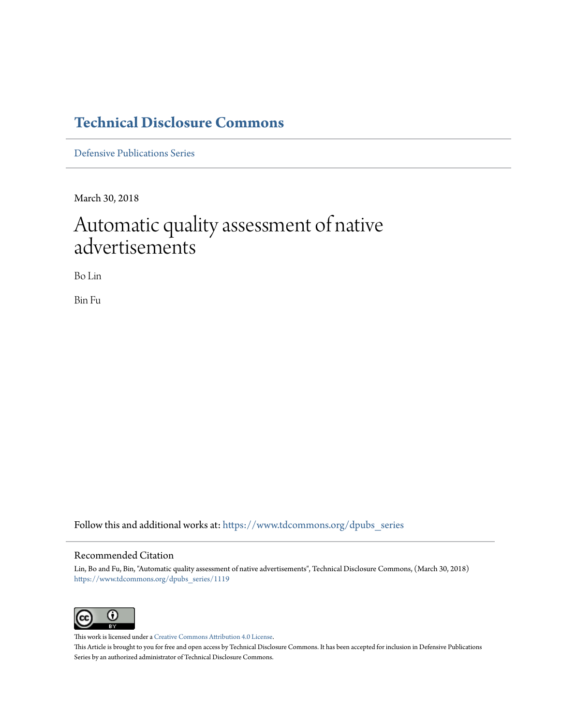# **[Technical Disclosure Commons](https://www.tdcommons.org?utm_source=www.tdcommons.org%2Fdpubs_series%2F1119&utm_medium=PDF&utm_campaign=PDFCoverPages)**

[Defensive Publications Series](https://www.tdcommons.org/dpubs_series?utm_source=www.tdcommons.org%2Fdpubs_series%2F1119&utm_medium=PDF&utm_campaign=PDFCoverPages)

March 30, 2018

# Automatic quality assessment of native advertisements

Bo Lin

Bin Fu

Follow this and additional works at: [https://www.tdcommons.org/dpubs\\_series](https://www.tdcommons.org/dpubs_series?utm_source=www.tdcommons.org%2Fdpubs_series%2F1119&utm_medium=PDF&utm_campaign=PDFCoverPages)

#### Recommended Citation

Lin, Bo and Fu, Bin, "Automatic quality assessment of native advertisements", Technical Disclosure Commons, (March 30, 2018) [https://www.tdcommons.org/dpubs\\_series/1119](https://www.tdcommons.org/dpubs_series/1119?utm_source=www.tdcommons.org%2Fdpubs_series%2F1119&utm_medium=PDF&utm_campaign=PDFCoverPages)



This work is licensed under a [Creative Commons Attribution 4.0 License.](http://creativecommons.org/licenses/by/4.0/deed.en_US) This Article is brought to you for free and open access by Technical Disclosure Commons. It has been accepted for inclusion in Defensive Publications Series by an authorized administrator of Technical Disclosure Commons.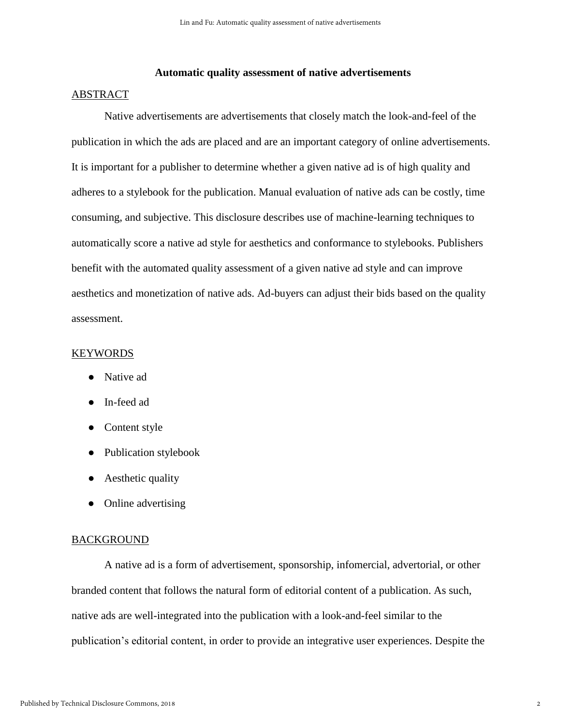## **Automatic quality assessment of native advertisements**

### ABSTRACT

Native advertisements are advertisements that closely match the look-and-feel of the publication in which the ads are placed and are an important category of online advertisements. It is important for a publisher to determine whether a given native ad is of high quality and adheres to a stylebook for the publication. Manual evaluation of native ads can be costly, time consuming, and subjective. This disclosure describes use of machine-learning techniques to automatically score a native ad style for aesthetics and conformance to stylebooks. Publishers benefit with the automated quality assessment of a given native ad style and can improve aesthetics and monetization of native ads. Ad-buyers can adjust their bids based on the quality assessment.

#### KEYWORDS

- Native ad
- In-feed ad
- Content style
- Publication stylebook
- Aesthetic quality
- Online advertising

#### BACKGROUND

A native ad is a form of advertisement, sponsorship, infomercial, advertorial, or other branded content that follows the natural form of editorial content of a publication. As such, native ads are well-integrated into the publication with a look-and-feel similar to the publication's editorial content, in order to provide an integrative user experiences. Despite the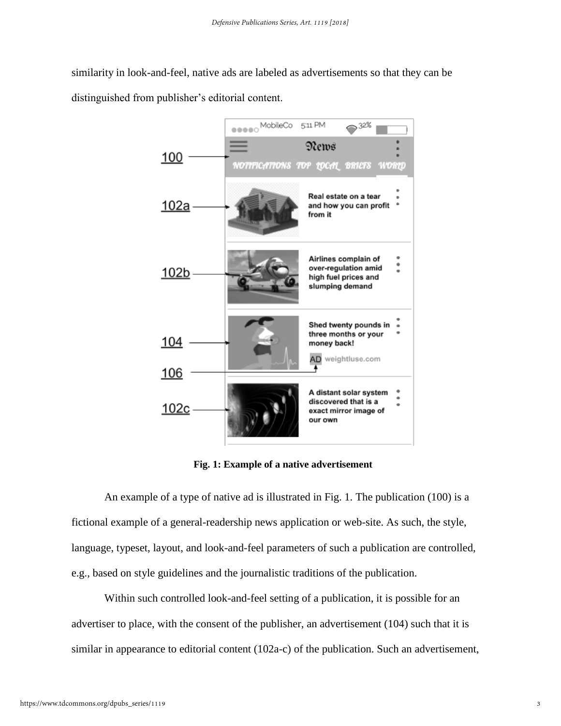similarity in look-and-feel, native ads are labeled as advertisements so that they can be distinguished from publisher's editorial content.



**Fig. 1: Example of a native advertisement**

An example of a type of native ad is illustrated in Fig. 1. The publication (100) is a fictional example of a general-readership news application or web-site. As such, the style, language, typeset, layout, and look-and-feel parameters of such a publication are controlled, e.g., based on style guidelines and the journalistic traditions of the publication.

Within such controlled look-and-feel setting of a publication, it is possible for an advertiser to place, with the consent of the publisher, an advertisement (104) such that it is similar in appearance to editorial content (102a-c) of the publication. Such an advertisement,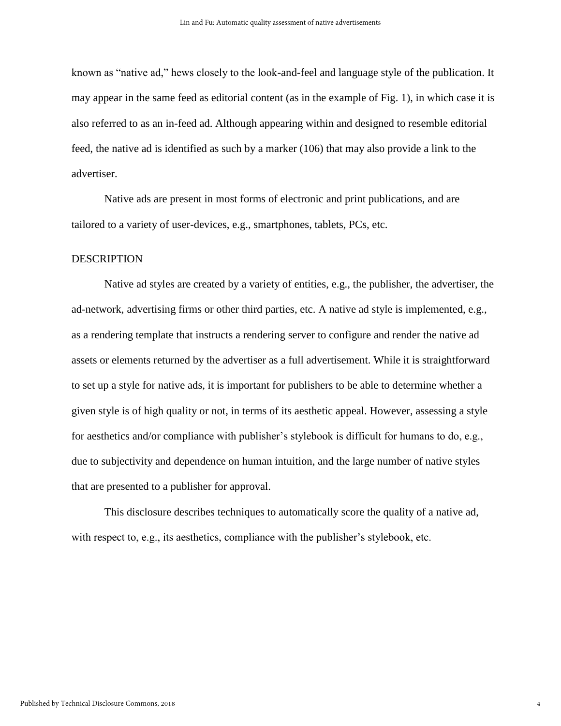known as "native ad," hews closely to the look-and-feel and language style of the publication. It may appear in the same feed as editorial content (as in the example of Fig. 1), in which case it is also referred to as an in-feed ad. Although appearing within and designed to resemble editorial feed, the native ad is identified as such by a marker (106) that may also provide a link to the advertiser.

Native ads are present in most forms of electronic and print publications, and are tailored to a variety of user-devices, e.g., smartphones, tablets, PCs, etc.

#### DESCRIPTION

Native ad styles are created by a variety of entities, e.g., the publisher, the advertiser, the ad-network, advertising firms or other third parties, etc. A native ad style is implemented, e.g., as a rendering template that instructs a rendering server to configure and render the native ad assets or elements returned by the advertiser as a full advertisement. While it is straightforward to set up a style for native ads, it is important for publishers to be able to determine whether a given style is of high quality or not, in terms of its aesthetic appeal. However, assessing a style for aesthetics and/or compliance with publisher's stylebook is difficult for humans to do, e.g., due to subjectivity and dependence on human intuition, and the large number of native styles that are presented to a publisher for approval.

This disclosure describes techniques to automatically score the quality of a native ad, with respect to, e.g., its aesthetics, compliance with the publisher's stylebook, etc.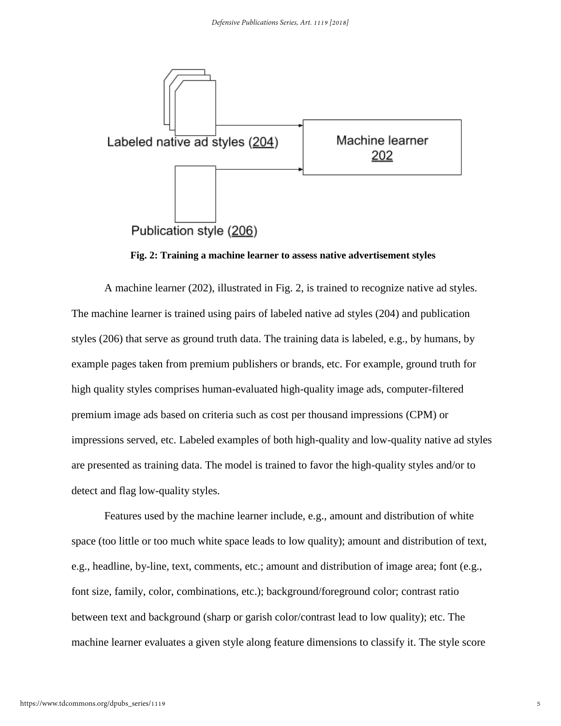

**Fig. 2: Training a machine learner to assess native advertisement styles**

A machine learner (202), illustrated in Fig. 2, is trained to recognize native ad styles. The machine learner is trained using pairs of labeled native ad styles (204) and publication styles (206) that serve as ground truth data. The training data is labeled, e.g., by humans, by example pages taken from premium publishers or brands, etc. For example, ground truth for high quality styles comprises human-evaluated high-quality image ads, computer-filtered premium image ads based on criteria such as cost per thousand impressions (CPM) or impressions served, etc. Labeled examples of both high-quality and low-quality native ad styles are presented as training data. The model is trained to favor the high-quality styles and/or to detect and flag low-quality styles.

Features used by the machine learner include, e.g., amount and distribution of white space (too little or too much white space leads to low quality); amount and distribution of text, e.g., headline, by-line, text, comments, etc.; amount and distribution of image area; font (e.g., font size, family, color, combinations, etc.); background/foreground color; contrast ratio between text and background (sharp or garish color/contrast lead to low quality); etc. The machine learner evaluates a given style along feature dimensions to classify it. The style score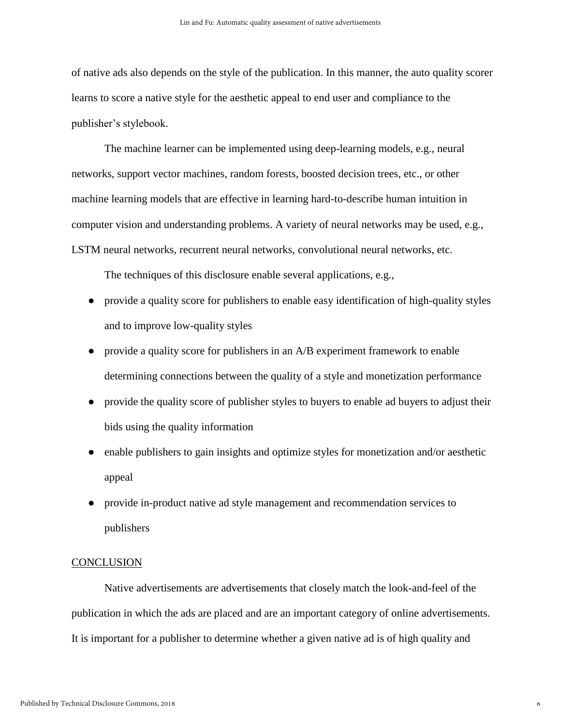of native ads also depends on the style of the publication. In this manner, the auto quality scorer learns to score a native style for the aesthetic appeal to end user and compliance to the publisher's stylebook.

The machine learner can be implemented using deep-learning models, e.g., neural networks, support vector machines, random forests, boosted decision trees, etc., or other machine learning models that are effective in learning hard-to-describe human intuition in computer vision and understanding problems. A variety of neural networks may be used, e.g., LSTM neural networks, recurrent neural networks, convolutional neural networks, etc.

The techniques of this disclosure enable several applications, e.g.,

- provide a quality score for publishers to enable easy identification of high-quality styles and to improve low-quality styles
- provide a quality score for publishers in an A/B experiment framework to enable determining connections between the quality of a style and monetization performance
- provide the quality score of publisher styles to buyers to enable ad buyers to adjust their bids using the quality information
- enable publishers to gain insights and optimize styles for monetization and/or aesthetic appeal
- provide in-product native ad style management and recommendation services to publishers

## **CONCLUSION**

Native advertisements are advertisements that closely match the look-and-feel of the publication in which the ads are placed and are an important category of online advertisements. It is important for a publisher to determine whether a given native ad is of high quality and